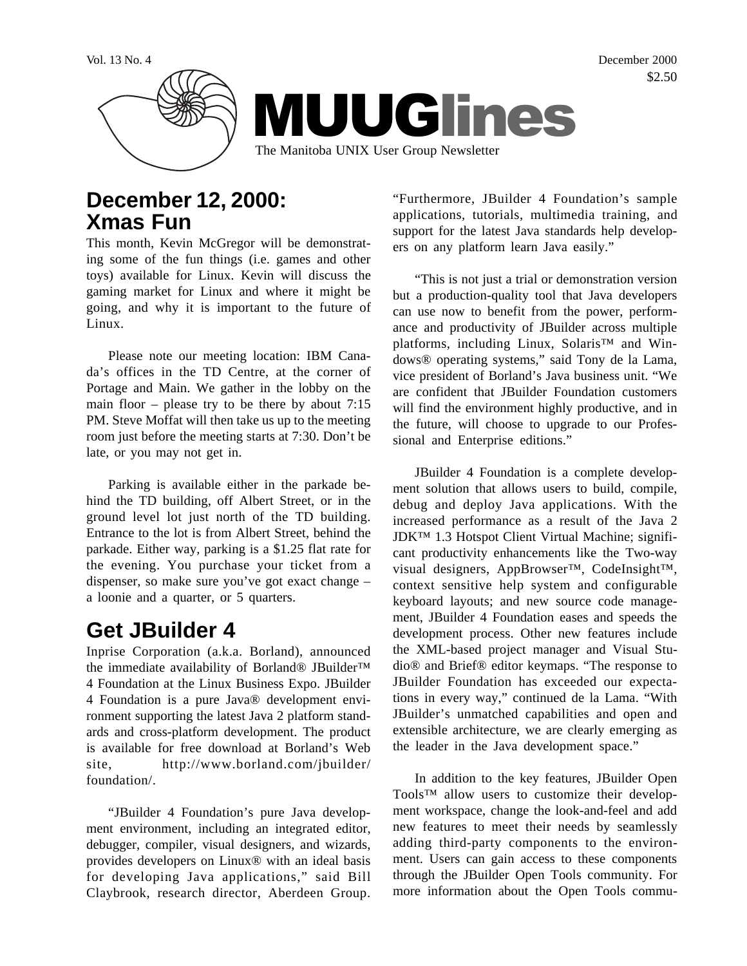

## **December 12, 2000: Xmas Fun**

This month, Kevin McGregor will be demonstrating some of the fun things (i.e. games and other toys) available for Linux. Kevin will discuss the gaming market for Linux and where it might be going, and why it is important to the future of Linux.

Please note our meeting location: IBM Canada's offices in the TD Centre, at the corner of Portage and Main. We gather in the lobby on the main floor – please try to be there by about 7:15 PM. Steve Moffat will then take us up to the meeting room just before the meeting starts at 7:30. Don't be late, or you may not get in.

Parking is available either in the parkade behind the TD building, off Albert Street, or in the ground level lot just north of the TD building. Entrance to the lot is from Albert Street, behind the parkade. Either way, parking is a \$1.25 flat rate for the evening. You purchase your ticket from a dispenser, so make sure you've got exact change – a loonie and a quarter, or 5 quarters.

# **Get JBuilder 4**

Inprise Corporation (a.k.a. Borland), announced the immediate availability of Borland® JBuilder™ 4 Foundation at the Linux Business Expo. JBuilder 4 Foundation is a pure Java® development environment supporting the latest Java 2 platform standards and cross-platform development. The product is available for free download at Borland's Web site, http://www.borland.com/jbuilder/ foundation/.

"JBuilder 4 Foundation's pure Java development environment, including an integrated editor, debugger, compiler, visual designers, and wizards, provides developers on Linux® with an ideal basis for developing Java applications," said Bill Claybrook, research director, Aberdeen Group.

"Furthermore, JBuilder 4 Foundation's sample applications, tutorials, multimedia training, and support for the latest Java standards help developers on any platform learn Java easily."

"This is not just a trial or demonstration version but a production-quality tool that Java developers can use now to benefit from the power, performance and productivity of JBuilder across multiple platforms, including Linux, Solaris<sup>™</sup> and Windows® operating systems," said Tony de la Lama, vice president of Borland's Java business unit. "We are confident that JBuilder Foundation customers will find the environment highly productive, and in the future, will choose to upgrade to our Professional and Enterprise editions."

JBuilder 4 Foundation is a complete development solution that allows users to build, compile, debug and deploy Java applications. With the increased performance as a result of the Java 2 JDK™ 1.3 Hotspot Client Virtual Machine; significant productivity enhancements like the Two-way visual designers, AppBrowser™, CodeInsight™, context sensitive help system and configurable keyboard layouts; and new source code management, JBuilder 4 Foundation eases and speeds the development process. Other new features include the XML-based project manager and Visual Studio® and Brief® editor keymaps. "The response to JBuilder Foundation has exceeded our expectations in every way," continued de la Lama. "With JBuilder's unmatched capabilities and open and extensible architecture, we are clearly emerging as the leader in the Java development space."

In addition to the key features, JBuilder Open Tools™ allow users to customize their development workspace, change the look-and-feel and add new features to meet their needs by seamlessly adding third-party components to the environment. Users can gain access to these components through the JBuilder Open Tools community. For more information about the Open Tools commu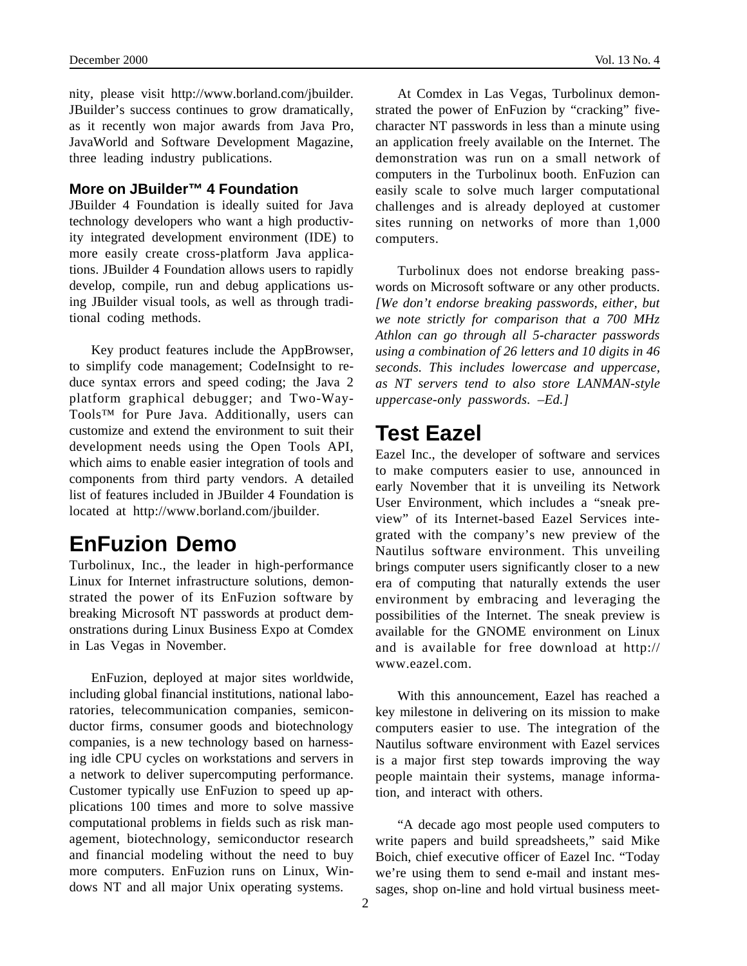nity, please visit http://www.borland.com/jbuilder. JBuilder's success continues to grow dramatically, as it recently won major awards from Java Pro, JavaWorld and Software Development Magazine, three leading industry publications.

#### **More on JBuilder™ 4 Foundation**

JBuilder 4 Foundation is ideally suited for Java technology developers who want a high productivity integrated development environment (IDE) to more easily create cross-platform Java applications. JBuilder 4 Foundation allows users to rapidly develop, compile, run and debug applications using JBuilder visual tools, as well as through traditional coding methods.

Key product features include the AppBrowser, to simplify code management; CodeInsight to reduce syntax errors and speed coding; the Java 2 platform graphical debugger; and Two-Way-Tools™ for Pure Java. Additionally, users can customize and extend the environment to suit their development needs using the Open Tools API, which aims to enable easier integration of tools and components from third party vendors. A detailed list of features included in JBuilder 4 Foundation is located at http://www.borland.com/jbuilder.

### **EnFuzion Demo**

Turbolinux, Inc., the leader in high-performance Linux for Internet infrastructure solutions, demonstrated the power of its EnFuzion software by breaking Microsoft NT passwords at product demonstrations during Linux Business Expo at Comdex in Las Vegas in November.

EnFuzion, deployed at major sites worldwide, including global financial institutions, national laboratories, telecommunication companies, semiconductor firms, consumer goods and biotechnology companies, is a new technology based on harnessing idle CPU cycles on workstations and servers in a network to deliver supercomputing performance. Customer typically use EnFuzion to speed up applications 100 times and more to solve massive computational problems in fields such as risk management, biotechnology, semiconductor research and financial modeling without the need to buy more computers. EnFuzion runs on Linux, Windows NT and all major Unix operating systems.

At Comdex in Las Vegas, Turbolinux demonstrated the power of EnFuzion by "cracking" fivecharacter NT passwords in less than a minute using an application freely available on the Internet. The demonstration was run on a small network of computers in the Turbolinux booth. EnFuzion can easily scale to solve much larger computational challenges and is already deployed at customer sites running on networks of more than 1,000 computers.

Turbolinux does not endorse breaking passwords on Microsoft software or any other products. *[We don't endorse breaking passwords, either, but we note strictly for comparison that a 700 MHz Athlon can go through all 5-character passwords using a combination of 26 letters and 10 digits in 46 seconds. This includes lowercase and uppercase, as NT servers tend to also store LANMAN-style uppercase-only passwords. –Ed.]*

#### **Test Eazel**

Eazel Inc., the developer of software and services to make computers easier to use, announced in early November that it is unveiling its Network User Environment, which includes a "sneak preview" of its Internet-based Eazel Services integrated with the company's new preview of the Nautilus software environment. This unveiling brings computer users significantly closer to a new era of computing that naturally extends the user environment by embracing and leveraging the possibilities of the Internet. The sneak preview is available for the GNOME environment on Linux and is available for free download at http:// www.eazel.com.

With this announcement, Eazel has reached a key milestone in delivering on its mission to make computers easier to use. The integration of the Nautilus software environment with Eazel services is a major first step towards improving the way people maintain their systems, manage information, and interact with others.

"A decade ago most people used computers to write papers and build spreadsheets," said Mike Boich, chief executive officer of Eazel Inc. "Today we're using them to send e-mail and instant messages, shop on-line and hold virtual business meet-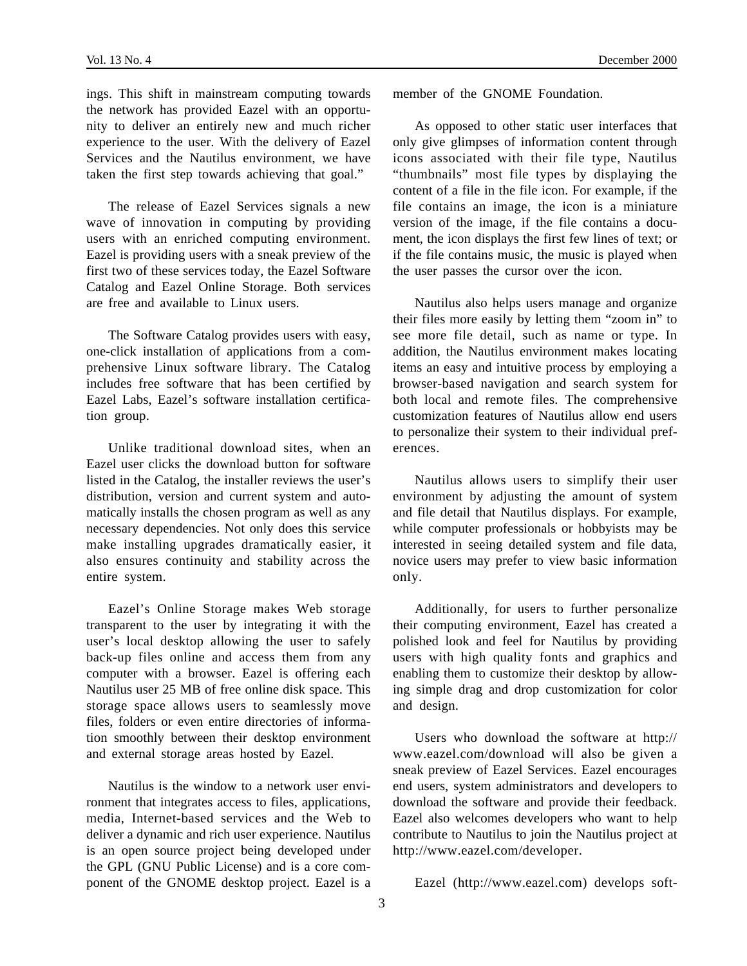ings. This shift in mainstream computing towards the network has provided Eazel with an opportunity to deliver an entirely new and much richer experience to the user. With the delivery of Eazel Services and the Nautilus environment, we have taken the first step towards achieving that goal."

The release of Eazel Services signals a new wave of innovation in computing by providing users with an enriched computing environment. Eazel is providing users with a sneak preview of the first two of these services today, the Eazel Software Catalog and Eazel Online Storage. Both services are free and available to Linux users.

The Software Catalog provides users with easy, one-click installation of applications from a comprehensive Linux software library. The Catalog includes free software that has been certified by Eazel Labs, Eazel's software installation certification group.

Unlike traditional download sites, when an Eazel user clicks the download button for software listed in the Catalog, the installer reviews the user's distribution, version and current system and automatically installs the chosen program as well as any necessary dependencies. Not only does this service make installing upgrades dramatically easier, it also ensures continuity and stability across the entire system.

Eazel's Online Storage makes Web storage transparent to the user by integrating it with the user's local desktop allowing the user to safely back-up files online and access them from any computer with a browser. Eazel is offering each Nautilus user 25 MB of free online disk space. This storage space allows users to seamlessly move files, folders or even entire directories of information smoothly between their desktop environment and external storage areas hosted by Eazel.

Nautilus is the window to a network user environment that integrates access to files, applications, media, Internet-based services and the Web to deliver a dynamic and rich user experience. Nautilus is an open source project being developed under the GPL (GNU Public License) and is a core component of the GNOME desktop project. Eazel is a member of the GNOME Foundation.

As opposed to other static user interfaces that only give glimpses of information content through icons associated with their file type, Nautilus "thumbnails" most file types by displaying the content of a file in the file icon. For example, if the file contains an image, the icon is a miniature version of the image, if the file contains a document, the icon displays the first few lines of text; or if the file contains music, the music is played when the user passes the cursor over the icon.

Nautilus also helps users manage and organize their files more easily by letting them "zoom in" to see more file detail, such as name or type. In addition, the Nautilus environment makes locating items an easy and intuitive process by employing a browser-based navigation and search system for both local and remote files. The comprehensive customization features of Nautilus allow end users to personalize their system to their individual preferences.

Nautilus allows users to simplify their user environment by adjusting the amount of system and file detail that Nautilus displays. For example, while computer professionals or hobbyists may be interested in seeing detailed system and file data, novice users may prefer to view basic information only.

Additionally, for users to further personalize their computing environment, Eazel has created a polished look and feel for Nautilus by providing users with high quality fonts and graphics and enabling them to customize their desktop by allowing simple drag and drop customization for color and design.

Users who download the software at http:// www.eazel.com/download will also be given a sneak preview of Eazel Services. Eazel encourages end users, system administrators and developers to download the software and provide their feedback. Eazel also welcomes developers who want to help contribute to Nautilus to join the Nautilus project at http://www.eazel.com/developer.

Eazel (http://www.eazel.com) develops soft-